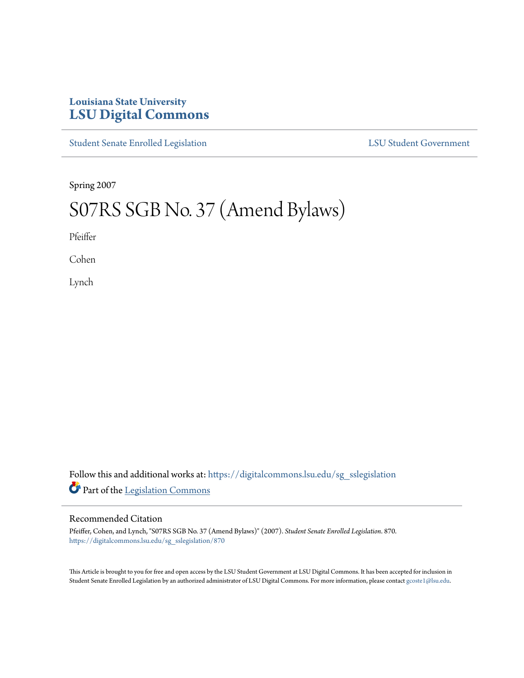## **Louisiana State University [LSU Digital Commons](https://digitalcommons.lsu.edu?utm_source=digitalcommons.lsu.edu%2Fsg_sslegislation%2F870&utm_medium=PDF&utm_campaign=PDFCoverPages)**

[Student Senate Enrolled Legislation](https://digitalcommons.lsu.edu/sg_sslegislation?utm_source=digitalcommons.lsu.edu%2Fsg_sslegislation%2F870&utm_medium=PDF&utm_campaign=PDFCoverPages) [LSU Student Government](https://digitalcommons.lsu.edu/sg?utm_source=digitalcommons.lsu.edu%2Fsg_sslegislation%2F870&utm_medium=PDF&utm_campaign=PDFCoverPages)

Spring 2007

## S07RS SGB No. 37 (Amend Bylaws)

Pfeiffer

Cohen

Lynch

Follow this and additional works at: [https://digitalcommons.lsu.edu/sg\\_sslegislation](https://digitalcommons.lsu.edu/sg_sslegislation?utm_source=digitalcommons.lsu.edu%2Fsg_sslegislation%2F870&utm_medium=PDF&utm_campaign=PDFCoverPages) Part of the [Legislation Commons](http://network.bepress.com/hgg/discipline/859?utm_source=digitalcommons.lsu.edu%2Fsg_sslegislation%2F870&utm_medium=PDF&utm_campaign=PDFCoverPages)

## Recommended Citation

Pfeiffer, Cohen, and Lynch, "S07RS SGB No. 37 (Amend Bylaws)" (2007). *Student Senate Enrolled Legislation*. 870. [https://digitalcommons.lsu.edu/sg\\_sslegislation/870](https://digitalcommons.lsu.edu/sg_sslegislation/870?utm_source=digitalcommons.lsu.edu%2Fsg_sslegislation%2F870&utm_medium=PDF&utm_campaign=PDFCoverPages)

This Article is brought to you for free and open access by the LSU Student Government at LSU Digital Commons. It has been accepted for inclusion in Student Senate Enrolled Legislation by an authorized administrator of LSU Digital Commons. For more information, please contact [gcoste1@lsu.edu.](mailto:gcoste1@lsu.edu)